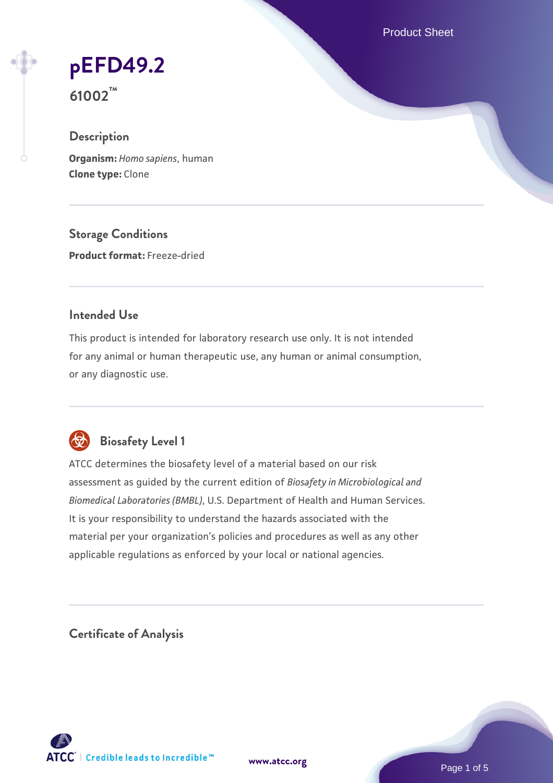Product Sheet

# **[pEFD49.2](https://www.atcc.org/products/61002)**

**61002™**

# **Description**

**Organism:** *Homo sapiens*, human **Clone type:** Clone

**Storage Conditions Product format:** Freeze-dried

#### **Intended Use**

This product is intended for laboratory research use only. It is not intended for any animal or human therapeutic use, any human or animal consumption, or any diagnostic use.



# **Biosafety Level 1**

ATCC determines the biosafety level of a material based on our risk assessment as guided by the current edition of *Biosafety in Microbiological and Biomedical Laboratories (BMBL)*, U.S. Department of Health and Human Services. It is your responsibility to understand the hazards associated with the material per your organization's policies and procedures as well as any other applicable regulations as enforced by your local or national agencies.

**Certificate of Analysis**

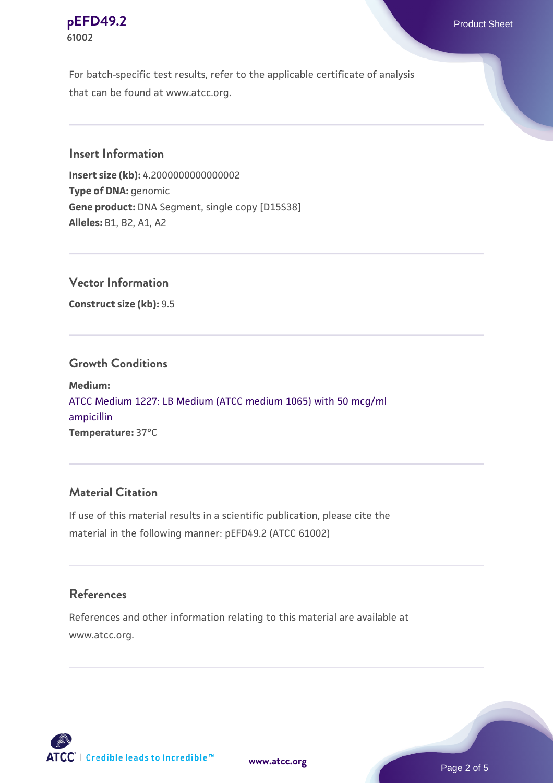#### **[pEFD49.2](https://www.atcc.org/products/61002)** Product Sheet **61002**

For batch-specific test results, refer to the applicable certificate of analysis that can be found at www.atcc.org.

#### **Insert Information**

**Insert size (kb):** 4.2000000000000002 **Type of DNA:** genomic **Gene product:** DNA Segment, single copy [D15S38] **Alleles:** B1, B2, A1, A2

### **Vector Information**

**Construct size (kb):** 9.5

#### **Growth Conditions**

**Medium:**  [ATCC Medium 1227: LB Medium \(ATCC medium 1065\) with 50 mcg/ml](https://www.atcc.org/-/media/product-assets/documents/microbial-media-formulations/1/2/2/7/atcc-medium-1227.pdf?rev=581c98603b3e4b29a6d62ee0ba9ca578) [ampicillin](https://www.atcc.org/-/media/product-assets/documents/microbial-media-formulations/1/2/2/7/atcc-medium-1227.pdf?rev=581c98603b3e4b29a6d62ee0ba9ca578) **Temperature:** 37°C

#### **Material Citation**

If use of this material results in a scientific publication, please cite the material in the following manner: pEFD49.2 (ATCC 61002)

#### **References**

References and other information relating to this material are available at www.atcc.org.



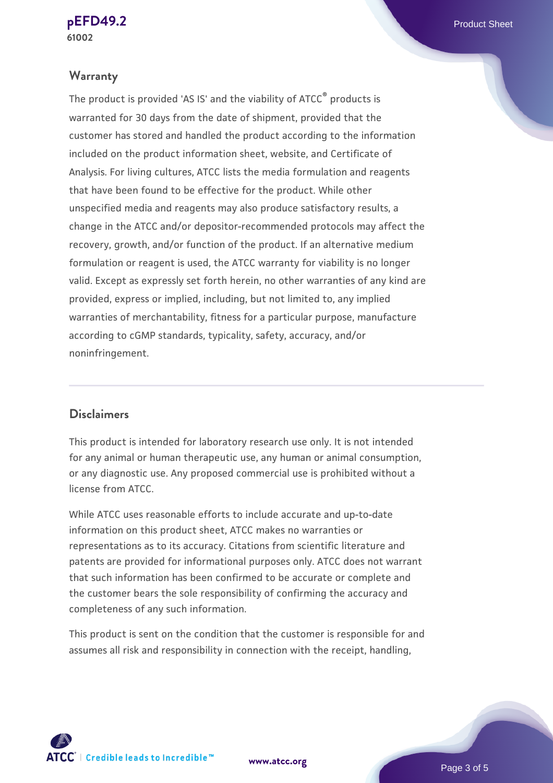#### **Warranty**

The product is provided 'AS IS' and the viability of ATCC® products is warranted for 30 days from the date of shipment, provided that the customer has stored and handled the product according to the information included on the product information sheet, website, and Certificate of Analysis. For living cultures, ATCC lists the media formulation and reagents that have been found to be effective for the product. While other unspecified media and reagents may also produce satisfactory results, a change in the ATCC and/or depositor-recommended protocols may affect the recovery, growth, and/or function of the product. If an alternative medium formulation or reagent is used, the ATCC warranty for viability is no longer valid. Except as expressly set forth herein, no other warranties of any kind are provided, express or implied, including, but not limited to, any implied warranties of merchantability, fitness for a particular purpose, manufacture according to cGMP standards, typicality, safety, accuracy, and/or noninfringement.

#### **Disclaimers**

This product is intended for laboratory research use only. It is not intended for any animal or human therapeutic use, any human or animal consumption, or any diagnostic use. Any proposed commercial use is prohibited without a license from ATCC.

While ATCC uses reasonable efforts to include accurate and up-to-date information on this product sheet, ATCC makes no warranties or representations as to its accuracy. Citations from scientific literature and patents are provided for informational purposes only. ATCC does not warrant that such information has been confirmed to be accurate or complete and the customer bears the sole responsibility of confirming the accuracy and completeness of any such information.

This product is sent on the condition that the customer is responsible for and assumes all risk and responsibility in connection with the receipt, handling,



**[www.atcc.org](http://www.atcc.org)**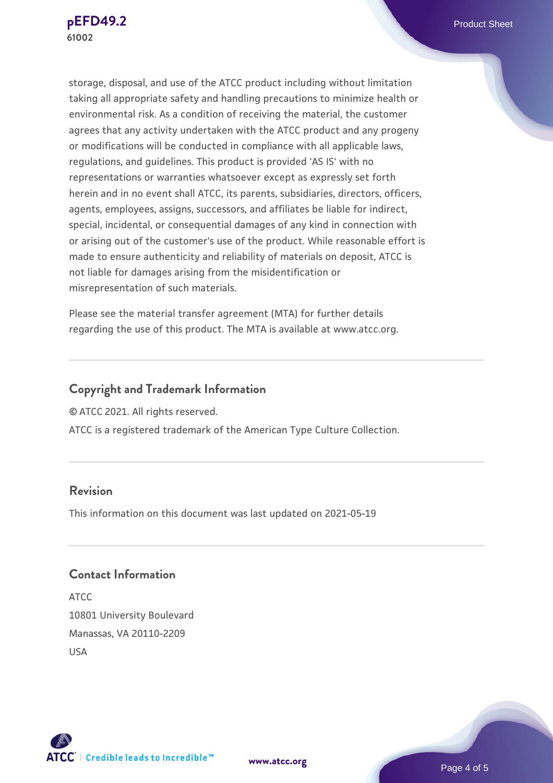storage, disposal, and use of the ATCC product including without limitation taking all appropriate safety and handling precautions to minimize health or environmental risk. As a condition of receiving the material, the customer agrees that any activity undertaken with the ATCC product and any progeny or modifications will be conducted in compliance with all applicable laws, regulations, and guidelines. This product is provided 'AS IS' with no representations or warranties whatsoever except as expressly set forth herein and in no event shall ATCC, its parents, subsidiaries, directors, officers, agents, employees, assigns, successors, and affiliates be liable for indirect, special, incidental, or consequential damages of any kind in connection with or arising out of the customer's use of the product. While reasonable effort is made to ensure authenticity and reliability of materials on deposit, ATCC is not liable for damages arising from the misidentification or misrepresentation of such materials.

Please see the material transfer agreement (MTA) for further details regarding the use of this product. The MTA is available at www.atcc.org.

# **Copyright and Trademark Information**

© ATCC 2021. All rights reserved.

ATCC is a registered trademark of the American Type Culture Collection.

#### **Revision**

This information on this document was last updated on 2021-05-19

## **Contact Information**

ATCC 10801 University Boulevard Manassas, VA 20110-2209 USA